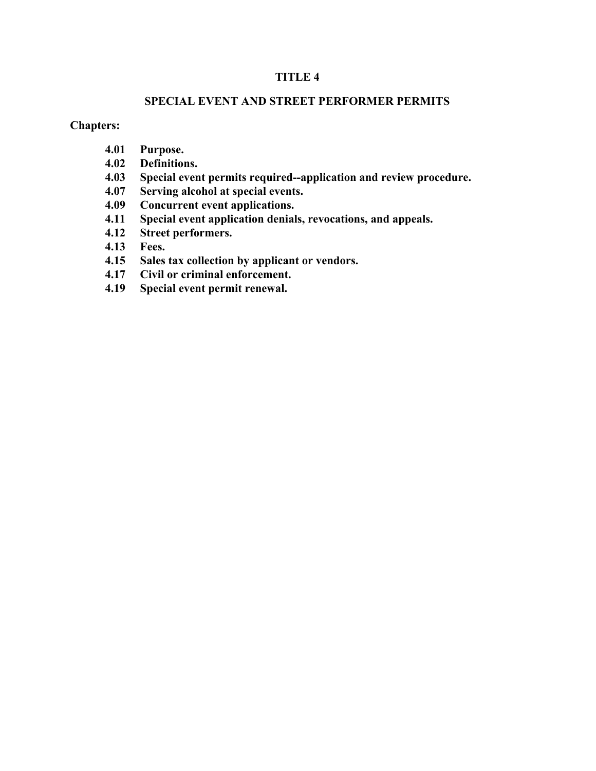### **TITLE 4**

#### **SPECIAL EVENT AND STREET PERFORMER PERMITS**

### **Chapters:**

- **4.01 Purpose.**
- **4.02 Definitions.**
- **4.03 Special event permits required--application and review procedure.**
- **4.07 Serving alcohol at special events.**
- **4.09 Concurrent event applications.**
- **4.11 Special event application denials, revocations, and appeals.**
- **4.12 Street performers.**
- **4.13 Fees.**
- **4.15 Sales tax collection by applicant or vendors.**
- **4.17 Civil or criminal enforcement.**
- **4.19 Special event permit renewal.**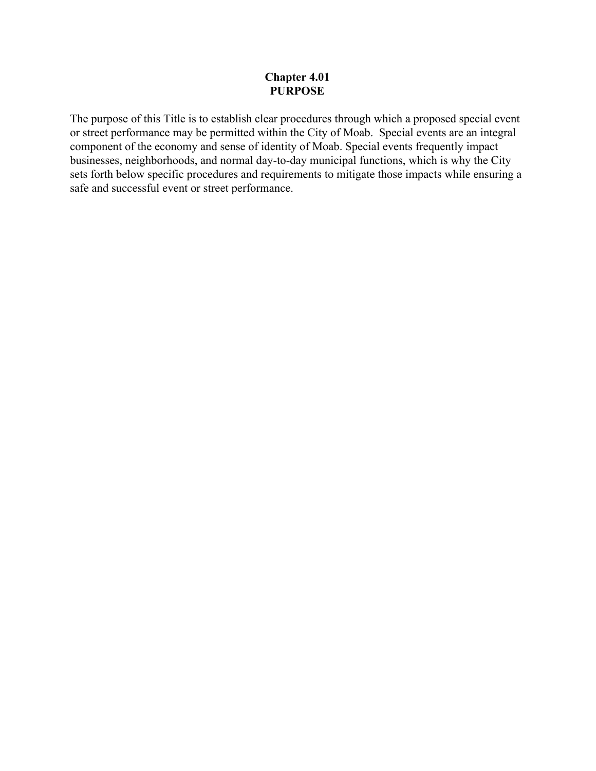### **Chapter 4.01 PURPOSE**

The purpose of this Title is to establish clear procedures through which a proposed special event or street performance may be permitted within the City of Moab. Special events are an integral component of the economy and sense of identity of Moab. Special events frequently impact businesses, neighborhoods, and normal day-to-day municipal functions, which is why the City sets forth below specific procedures and requirements to mitigate those impacts while ensuring a safe and successful event or street performance.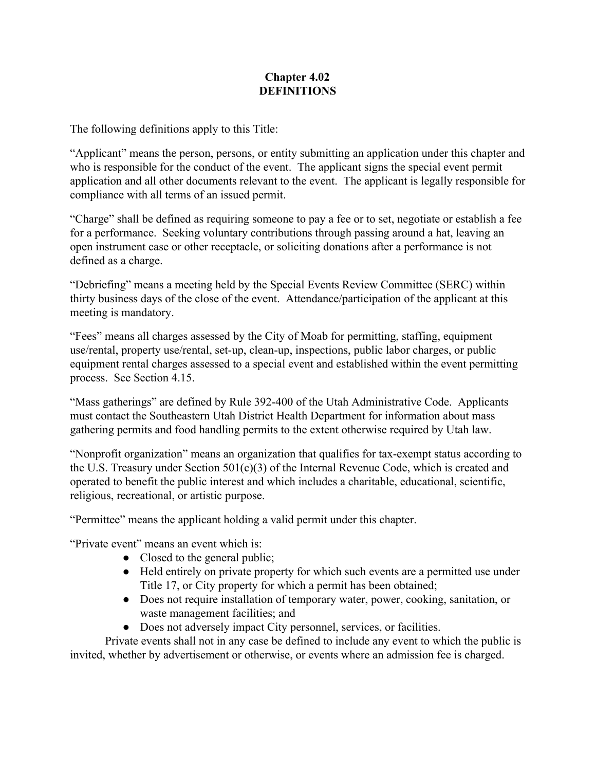## **Chapter 4.02 DEFINITIONS**

The following definitions apply to this Title:

"Applicant" means the person, persons, or entity submitting an application under this chapter and who is responsible for the conduct of the event. The applicant signs the special event permit application and all other documents relevant to the event. The applicant is legally responsible for compliance with all terms of an issued permit.

"Charge" shall be defined as requiring someone to pay a fee or to set, negotiate or establish a fee for a performance. Seeking voluntary contributions through passing around a hat, leaving an open instrument case or other receptacle, or soliciting donations after a performance is not defined as a charge.

"Debriefing" means a meeting held by the Special Events Review Committee (SERC) within thirty business days of the close of the event. Attendance/participation of the applicant at this meeting is mandatory.

"Fees" means all charges assessed by the City of Moab for permitting, staffing, equipment use/rental, property use/rental, set-up, clean-up, inspections, public labor charges, or public equipment rental charges assessed to a special event and established within the event permitting process. See Section 4.15.

"Mass gatherings" are defined by Rule 392-400 of the Utah Administrative Code. Applicants must contact the Southeastern Utah District Health Department for information about mass gathering permits and food handling permits to the extent otherwise required by Utah law.

"Nonprofit organization" means an organization that qualifies for tax-exempt status according to the U.S. Treasury under Section 501(c)(3) of the Internal Revenue Code, which is created and operated to benefit the public interest and which includes a charitable, educational, scientific, religious, recreational, or artistic purpose.

"Permittee" means the applicant holding a valid permit under this chapter.

"Private event" means an event which is:

- Closed to the general public;
- Held entirely on private property for which such events are a permitted use under Title 17, or City property for which a permit has been obtained;
- Does not require installation of temporary water, power, cooking, sanitation, or waste management facilities; and
- Does not adversely impact City personnel, services, or facilities.

Private events shall not in any case be defined to include any event to which the public is invited, whether by advertisement or otherwise, or events where an admission fee is charged.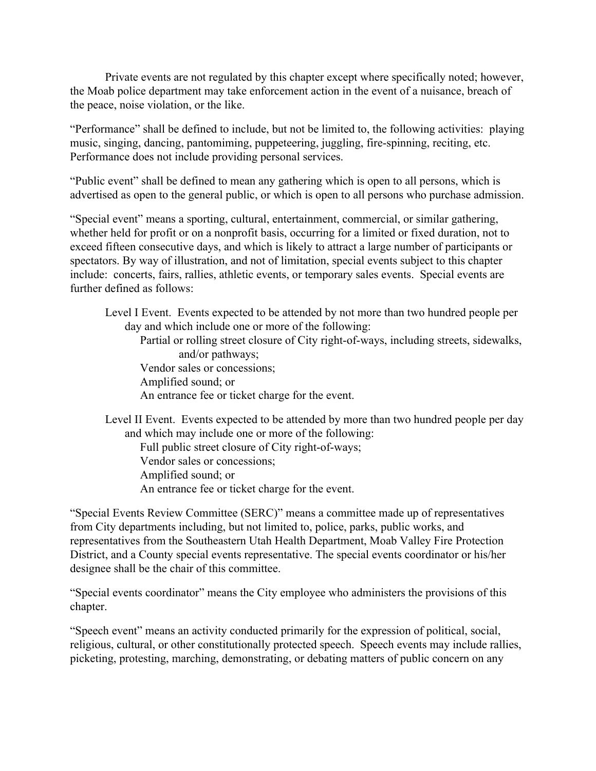Private events are not regulated by this chapter except where specifically noted; however, the Moab police department may take enforcement action in the event of a nuisance, breach of the peace, noise violation, or the like.

"Performance" shall be defined to include, but not be limited to, the following activities: playing music, singing, dancing, pantomiming, puppeteering, juggling, fire-spinning, reciting, etc. Performance does not include providing personal services.

"Public event" shall be defined to mean any gathering which is open to all persons, which is advertised as open to the general public, or which is open to all persons who purchase admission.

"Special event" means a sporting, cultural, entertainment, commercial, or similar gathering, whether held for profit or on a nonprofit basis, occurring for a limited or fixed duration, not to exceed fifteen consecutive days, and which is likely to attract a large number of participants or spectators. By way of illustration, and not of limitation, special events subject to this chapter include: concerts, fairs, rallies, athletic events, or temporary sales events. Special events are further defined as follows:

Level I Event. Events expected to be attended by not more than two hundred people per day and which include one or more of the following: Partial or rolling street closure of City right-of-ways, including streets, sidewalks, and/or pathways; Vendor sales or concessions; Amplified sound; or An entrance fee or ticket charge for the event.

Level II Event. Events expected to be attended by more than two hundred people per day and which may include one or more of the following:

Full public street closure of City right-of-ways;

Vendor sales or concessions;

Amplified sound; or

An entrance fee or ticket charge for the event.

"Special Events Review Committee (SERC)" means a committee made up of representatives from City departments including, but not limited to, police, parks, public works, and representatives from the Southeastern Utah Health Department, Moab Valley Fire Protection District, and a County special events representative. The special events coordinator or his/her designee shall be the chair of this committee.

"Special events coordinator" means the City employee who administers the provisions of this chapter.

"Speech event" means an activity conducted primarily for the expression of political, social, religious, cultural, or other constitutionally protected speech. Speech events may include rallies, picketing, protesting, marching, demonstrating, or debating matters of public concern on any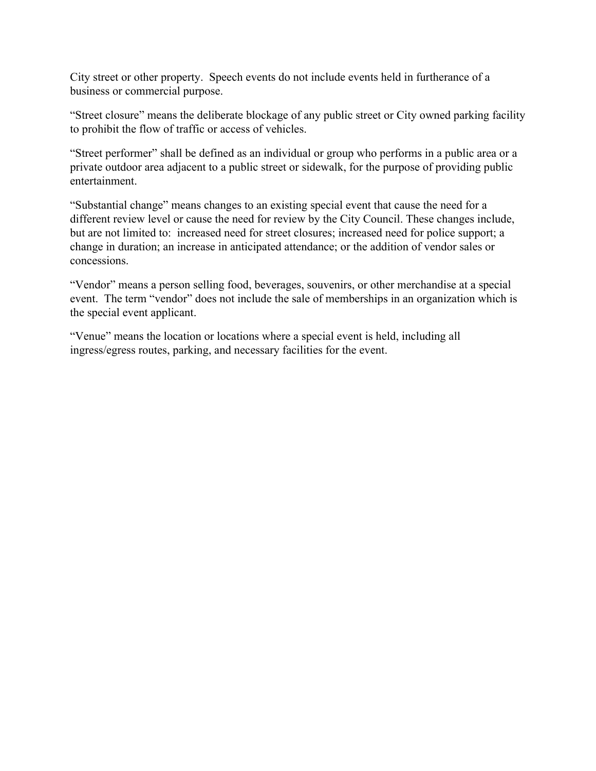City street or other property. Speech events do not include events held in furtherance of a business or commercial purpose.

"Street closure" means the deliberate blockage of any public street or City owned parking facility to prohibit the flow of traffic or access of vehicles.

"Street performer" shall be defined as an individual or group who performs in a public area or a private outdoor area adjacent to a public street or sidewalk, for the purpose of providing public entertainment.

"Substantial change" means changes to an existing special event that cause the need for a different review level or cause the need for review by the City Council. These changes include, but are not limited to: increased need for street closures; increased need for police support; a change in duration; an increase in anticipated attendance; or the addition of vendor sales or concessions.

"Vendor" means a person selling food, beverages, souvenirs, or other merchandise at a special event. The term "vendor" does not include the sale of memberships in an organization which is the special event applicant.

"Venue" means the location or locations where a special event is held, including all ingress/egress routes, parking, and necessary facilities for the event.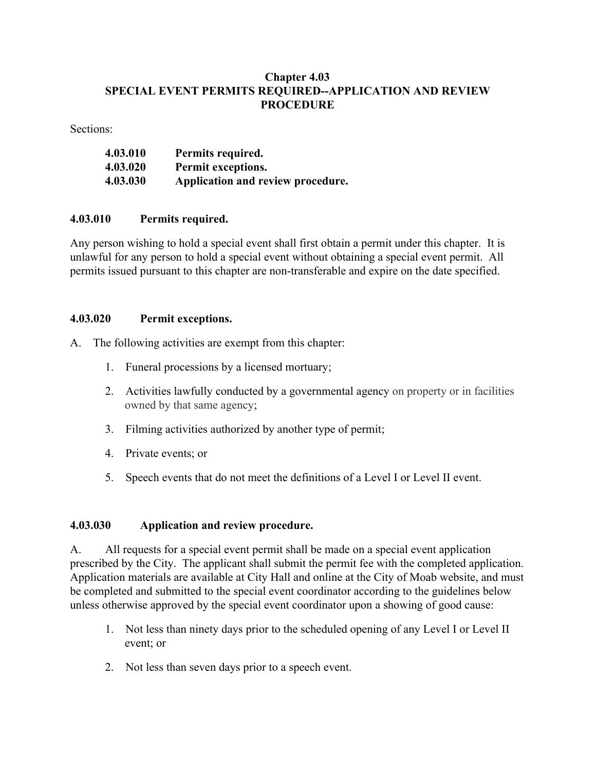## **Chapter 4.03 SPECIAL EVENT PERMITS REQUIRED--APPLICATION AND REVIEW PROCEDURE**

Sections:

| 4.03.010 | Permits required.                 |
|----------|-----------------------------------|
| 4.03.020 | Permit exceptions.                |
| 4.03.030 | Application and review procedure. |

### **4.03.010 Permits required.**

Any person wishing to hold a special event shall first obtain a permit under this chapter. It is unlawful for any person to hold a special event without obtaining a special event permit. All permits issued pursuant to this chapter are non-transferable and expire on the date specified.

### **4.03.020 Permit exceptions.**

A. The following activities are exempt from this chapter:

- 1. Funeral processions by a licensed mortuary;
- 2. Activities lawfully conducted by a governmental agency on property or in facilities owned by that same agency;
- 3. Filming activities authorized by another type of permit;
- 4. Private events; or
- 5. Speech events that do not meet the definitions of a Level I or Level II event.

## **4.03.030 Application and review procedure.**

A. All requests for a special event permit shall be made on a special event application prescribed by the City. The applicant shall submit the permit fee with the completed application. Application materials are available at City Hall and online at the City of Moab website, and must be completed and submitted to the special event coordinator according to the guidelines below unless otherwise approved by the special event coordinator upon a showing of good cause:

- 1. Not less than ninety days prior to the scheduled opening of any Level I or Level II event; or
- 2. Not less than seven days prior to a speech event.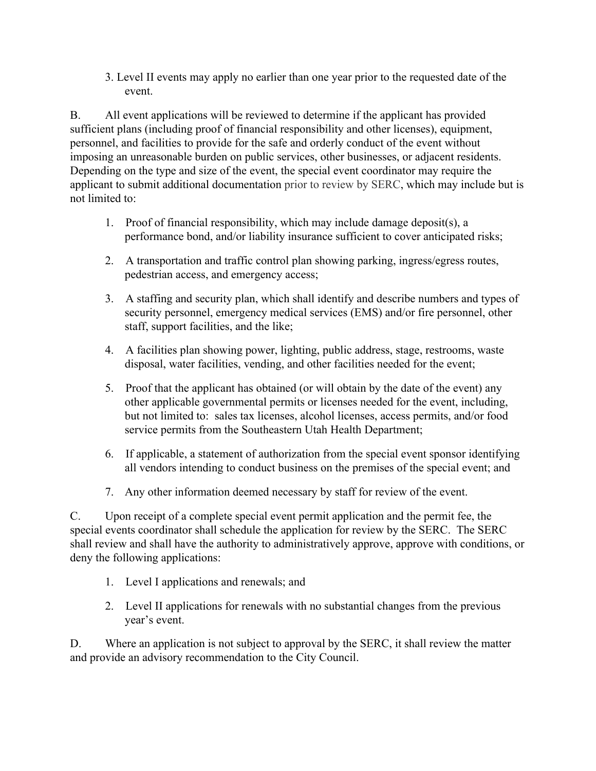3. Level II events may apply no earlier than one year prior to the requested date of the event.

B. All event applications will be reviewed to determine if the applicant has provided sufficient plans (including proof of financial responsibility and other licenses), equipment, personnel, and facilities to provide for the safe and orderly conduct of the event without imposing an unreasonable burden on public services, other businesses, or adjacent residents. Depending on the type and size of the event, the special event coordinator may require the applicant to submit additional documentation prior to review by SERC, which may include but is not limited to:

- 1. Proof of financial responsibility, which may include damage deposit(s), a performance bond, and/or liability insurance sufficient to cover anticipated risks;
- 2. A transportation and traffic control plan showing parking, ingress/egress routes, pedestrian access, and emergency access;
- 3. A staffing and security plan, which shall identify and describe numbers and types of security personnel, emergency medical services (EMS) and/or fire personnel, other staff, support facilities, and the like;
- 4. A facilities plan showing power, lighting, public address, stage, restrooms, waste disposal, water facilities, vending, and other facilities needed for the event;
- 5. Proof that the applicant has obtained (or will obtain by the date of the event) any other applicable governmental permits or licenses needed for the event, including, but not limited to: sales tax licenses, alcohol licenses, access permits, and/or food service permits from the Southeastern Utah Health Department;
- 6. If applicable, a statement of authorization from the special event sponsor identifying all vendors intending to conduct business on the premises of the special event; and
- 7. Any other information deemed necessary by staff for review of the event.

C. Upon receipt of a complete special event permit application and the permit fee, the special events coordinator shall schedule the application for review by the SERC. The SERC shall review and shall have the authority to administratively approve, approve with conditions, or deny the following applications:

- 1. Level I applications and renewals; and
- 2. Level II applications for renewals with no substantial changes from the previous year's event.

D. Where an application is not subject to approval by the SERC, it shall review the matter and provide an advisory recommendation to the City Council.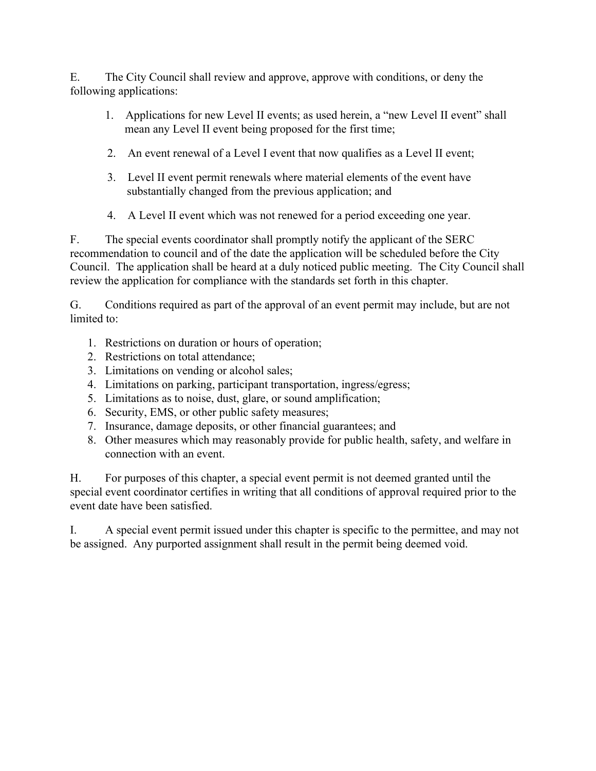E. The City Council shall review and approve, approve with conditions, or deny the following applications:

- 1. Applications for new Level II events; as used herein, a "new Level II event" shall mean any Level II event being proposed for the first time;
- 2. An event renewal of a Level I event that now qualifies as a Level II event;
- 3. Level II event permit renewals where material elements of the event have substantially changed from the previous application; and
- 4. A Level II event which was not renewed for a period exceeding one year.

F. The special events coordinator shall promptly notify the applicant of the SERC recommendation to council and of the date the application will be scheduled before the City Council. The application shall be heard at a duly noticed public meeting. The City Council shall review the application for compliance with the standards set forth in this chapter.

G. Conditions required as part of the approval of an event permit may include, but are not limited to:

- 1. Restrictions on duration or hours of operation;
- 2. Restrictions on total attendance;
- 3. Limitations on vending or alcohol sales;
- 4. Limitations on parking, participant transportation, ingress/egress;
- 5. Limitations as to noise, dust, glare, or sound amplification;
- 6. Security, EMS, or other public safety measures;
- 7. Insurance, damage deposits, or other financial guarantees; and
- 8. Other measures which may reasonably provide for public health, safety, and welfare in connection with an event.

H. For purposes of this chapter, a special event permit is not deemed granted until the special event coordinator certifies in writing that all conditions of approval required prior to the event date have been satisfied.

I. A special event permit issued under this chapter is specific to the permittee, and may not be assigned. Any purported assignment shall result in the permit being deemed void.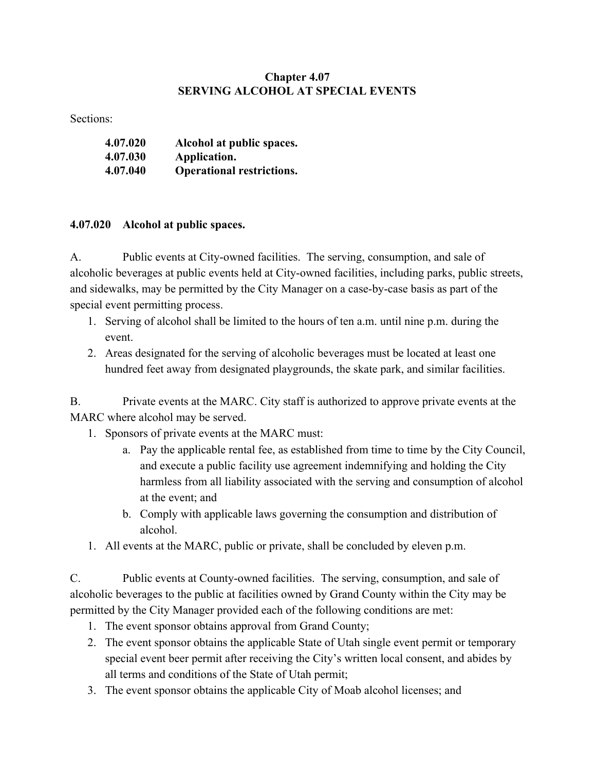## **Chapter 4.07 SERVING ALCOHOL AT SPECIAL EVENTS**

Sections:

| 4.07.020 | Alcohol at public spaces.        |
|----------|----------------------------------|
| 4.07.030 | Application.                     |
| 4.07.040 | <b>Operational restrictions.</b> |

## **4.07.020 Alcohol at public spaces.**

A. Public events at City-owned facilities. The serving, consumption, and sale of alcoholic beverages at public events held at City-owned facilities, including parks, public streets, and sidewalks, may be permitted by the City Manager on a case-by-case basis as part of the special event permitting process.

- 1. Serving of alcohol shall be limited to the hours of ten a.m. until nine p.m. during the event.
- 2. Areas designated for the serving of alcoholic beverages must be located at least one hundred feet away from designated playgrounds, the skate park, and similar facilities.

B. Private events at the MARC. City staff is authorized to approve private events at the MARC where alcohol may be served.

- 1. Sponsors of private events at the MARC must:
	- a. Pay the applicable rental fee, as established from time to time by the City Council, and execute a public facility use agreement indemnifying and holding the City harmless from all liability associated with the serving and consumption of alcohol at the event; and
	- b. Comply with applicable laws governing the consumption and distribution of alcohol.
- 1. All events at the MARC, public or private, shall be concluded by eleven p.m.

C. Public events at County-owned facilities. The serving, consumption, and sale of alcoholic beverages to the public at facilities owned by Grand County within the City may be permitted by the City Manager provided each of the following conditions are met:

- 1. The event sponsor obtains approval from Grand County;
- 2. The event sponsor obtains the applicable State of Utah single event permit or temporary special event beer permit after receiving the City's written local consent, and abides by all terms and conditions of the State of Utah permit;
- 3. The event sponsor obtains the applicable City of Moab alcohol licenses; and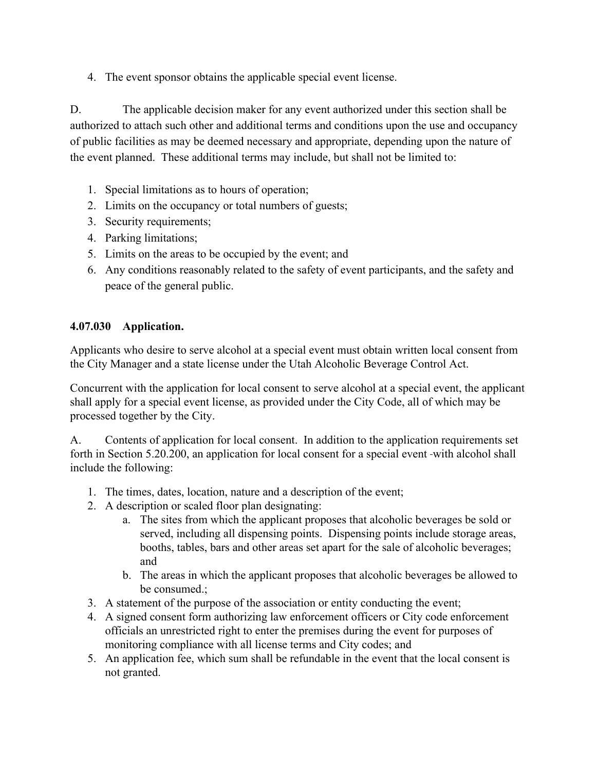4. The event sponsor obtains the applicable special event license.

D. The applicable decision maker for any event authorized under this section shall be authorized to attach such other and additional terms and conditions upon the use and occupancy of public facilities as may be deemed necessary and appropriate, depending upon the nature of the event planned. These additional terms may include, but shall not be limited to:

- 1. Special limitations as to hours of operation;
- 2. Limits on the occupancy or total numbers of guests;
- 3. Security requirements;
- 4. Parking limitations;
- 5. Limits on the areas to be occupied by the event; and
- 6. Any conditions reasonably related to the safety of event participants, and the safety and peace of the general public.

## **4.07.030 Application.**

Applicants who desire to serve alcohol at a special event must obtain written local consent from the City Manager and a state license under the Utah Alcoholic Beverage Control Act.

Concurrent with the application for local consent to serve alcohol at a special event, the applicant shall apply for a special event license, as provided under the City Code, all of which may be processed together by the City.

A. Contents of application for local consent. In addition to the application requirements set forth in Section 5.20.200, an application for local consent for a special event -with alcohol shall include the following:

- 1. The times, dates, location, nature and a description of the event;
- 2. A description or scaled floor plan designating:
	- a. The sites from which the applicant proposes that alcoholic beverages be sold or served, including all dispensing points. Dispensing points include storage areas, booths, tables, bars and other areas set apart for the sale of alcoholic beverages; and
	- b. The areas in which the applicant proposes that alcoholic beverages be allowed to be consumed.;
- 3. A statement of the purpose of the association or entity conducting the event;
- 4. A signed consent form authorizing law enforcement officers or City code enforcement officials an unrestricted right to enter the premises during the event for purposes of monitoring compliance with all license terms and City codes; and
- 5. An application fee, which sum shall be refundable in the event that the local consent is not granted.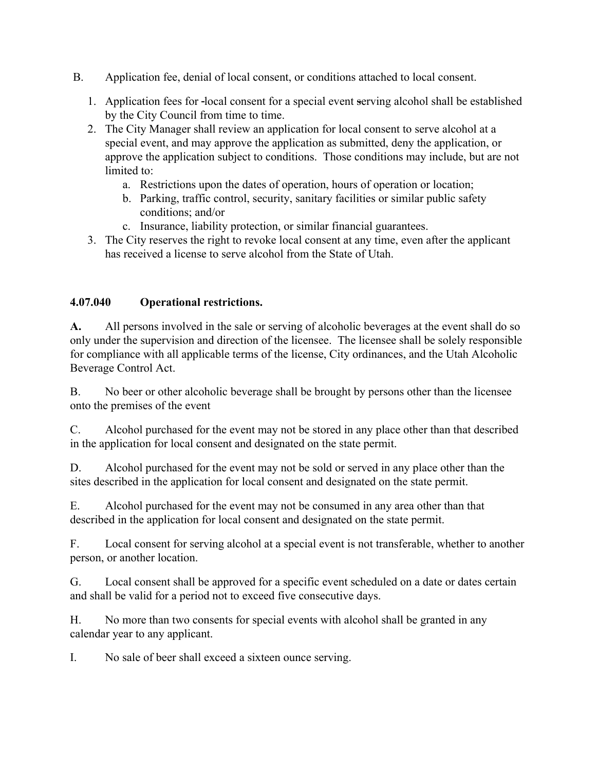- B. Application fee, denial of local consent, or conditions attached to local consent.
	- 1. Application fees for local consent for a special event serving alcohol shall be established by the City Council from time to time.
	- 2. The City Manager shall review an application for local consent to serve alcohol at a special event, and may approve the application as submitted, deny the application, or approve the application subject to conditions. Those conditions may include, but are not limited to:
		- a. Restrictions upon the dates of operation, hours of operation or location;
		- b. Parking, traffic control, security, sanitary facilities or similar public safety conditions; and/or
		- c. Insurance, liability protection, or similar financial guarantees.
	- 3. The City reserves the right to revoke local consent at any time, even after the applicant has received a license to serve alcohol from the State of Utah.

## **4.07.040 Operational restrictions.**

**A.** All persons involved in the sale or serving of alcoholic beverages at the event shall do so only under the supervision and direction of the licensee. The licensee shall be solely responsible for compliance with all applicable terms of the license, City ordinances, and the Utah Alcoholic Beverage Control Act.

B. No beer or other alcoholic beverage shall be brought by persons other than the licensee onto the premises of the event

C. Alcohol purchased for the event may not be stored in any place other than that described in the application for local consent and designated on the state permit.

D. Alcohol purchased for the event may not be sold or served in any place other than the sites described in the application for local consent and designated on the state permit.

E. Alcohol purchased for the event may not be consumed in any area other than that described in the application for local consent and designated on the state permit.

F. Local consent for serving alcohol at a special event is not transferable, whether to another person, or another location.

G. Local consent shall be approved for a specific event scheduled on a date or dates certain and shall be valid for a period not to exceed five consecutive days.

H. No more than two consents for special events with alcohol shall be granted in any calendar year to any applicant.

I. No sale of beer shall exceed a sixteen ounce serving.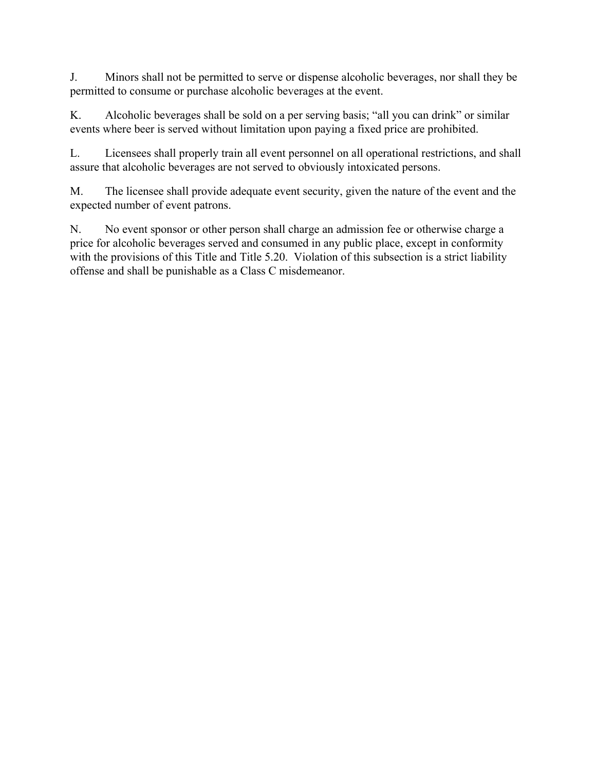J. Minors shall not be permitted to serve or dispense alcoholic beverages, nor shall they be permitted to consume or purchase alcoholic beverages at the event.

K. Alcoholic beverages shall be sold on a per serving basis; "all you can drink" or similar events where beer is served without limitation upon paying a fixed price are prohibited.

L. Licensees shall properly train all event personnel on all operational restrictions, and shall assure that alcoholic beverages are not served to obviously intoxicated persons.

M. The licensee shall provide adequate event security, given the nature of the event and the expected number of event patrons.

N. No event sponsor or other person shall charge an admission fee or otherwise charge a price for alcoholic beverages served and consumed in any public place, except in conformity with the provisions of this Title and Title 5.20. Violation of this subsection is a strict liability offense and shall be punishable as a Class C misdemeanor.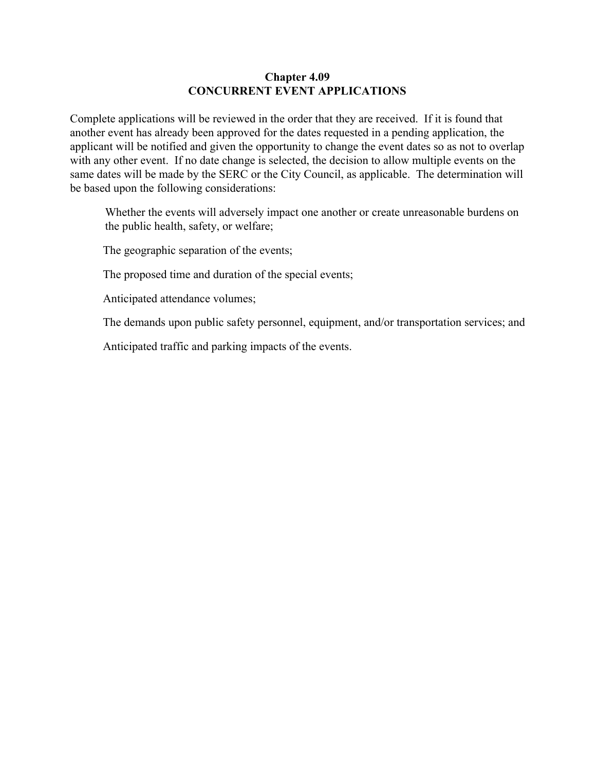### **Chapter 4.09 CONCURRENT EVENT APPLICATIONS**

Complete applications will be reviewed in the order that they are received. If it is found that another event has already been approved for the dates requested in a pending application, the applicant will be notified and given the opportunity to change the event dates so as not to overlap with any other event. If no date change is selected, the decision to allow multiple events on the same dates will be made by the SERC or the City Council, as applicable. The determination will be based upon the following considerations:

Whether the events will adversely impact one another or create unreasonable burdens on the public health, safety, or welfare;

The geographic separation of the events;

The proposed time and duration of the special events;

Anticipated attendance volumes;

The demands upon public safety personnel, equipment, and/or transportation services; and

Anticipated traffic and parking impacts of the events.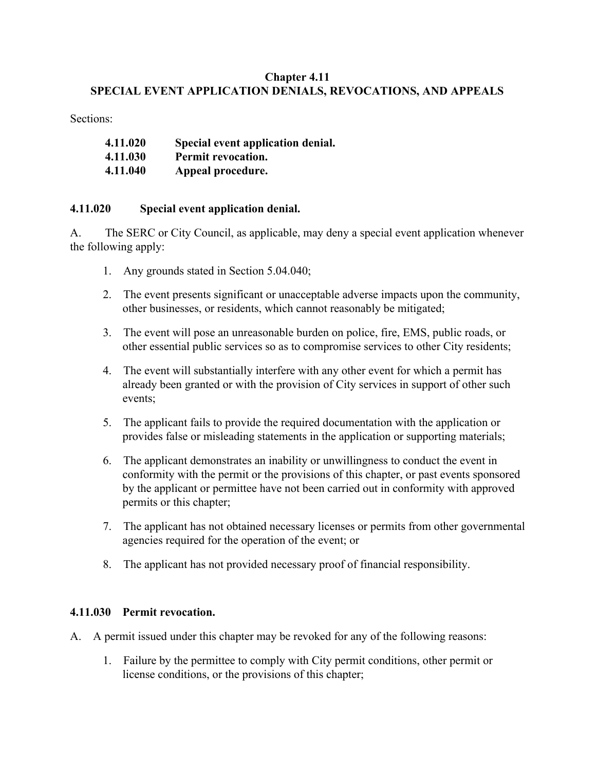## **Chapter 4.11 SPECIAL EVENT APPLICATION DENIALS, REVOCATIONS, AND APPEALS**

Sections:

| 4.11.020 | Special event application denial. |
|----------|-----------------------------------|
| 4.11.030 | Permit revocation.                |
| 4.11.040 | Appeal procedure.                 |

## **4.11.020 Special event application denial.**

A. The SERC or City Council, as applicable, may deny a special event application whenever the following apply:

- 1. Any grounds stated in Section 5.04.040;
- 2. The event presents significant or unacceptable adverse impacts upon the community, other businesses, or residents, which cannot reasonably be mitigated;
- 3. The event will pose an unreasonable burden on police, fire, EMS, public roads, or other essential public services so as to compromise services to other City residents;
- 4. The event will substantially interfere with any other event for which a permit has already been granted or with the provision of City services in support of other such events;
- 5. The applicant fails to provide the required documentation with the application or provides false or misleading statements in the application or supporting materials;
- 6. The applicant demonstrates an inability or unwillingness to conduct the event in conformity with the permit or the provisions of this chapter, or past events sponsored by the applicant or permittee have not been carried out in conformity with approved permits or this chapter;
- 7. The applicant has not obtained necessary licenses or permits from other governmental agencies required for the operation of the event; or
- 8. The applicant has not provided necessary proof of financial responsibility.

## **4.11.030 Permit revocation.**

- A. A permit issued under this chapter may be revoked for any of the following reasons:
	- 1. Failure by the permittee to comply with City permit conditions, other permit or license conditions, or the provisions of this chapter;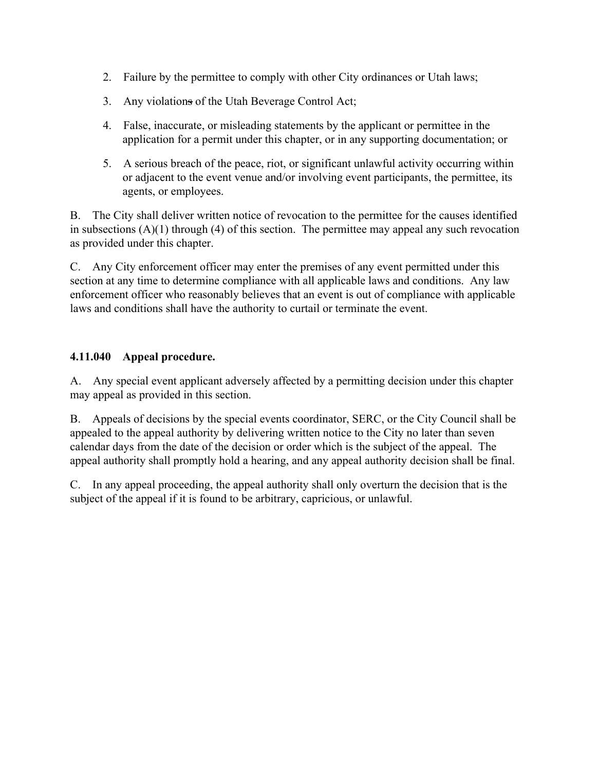- 2. Failure by the permittee to comply with other City ordinances or Utah laws;
- 3. Any violations of the Utah Beverage Control Act;
- 4. False, inaccurate, or misleading statements by the applicant or permittee in the application for a permit under this chapter, or in any supporting documentation; or
- 5. A serious breach of the peace, riot, or significant unlawful activity occurring within or adjacent to the event venue and/or involving event participants, the permittee, its agents, or employees.

B. The City shall deliver written notice of revocation to the permittee for the causes identified in subsections  $(A)(1)$  through  $(4)$  of this section. The permittee may appeal any such revocation as provided under this chapter.

C. Any City enforcement officer may enter the premises of any event permitted under this section at any time to determine compliance with all applicable laws and conditions. Any law enforcement officer who reasonably believes that an event is out of compliance with applicable laws and conditions shall have the authority to curtail or terminate the event.

## **4.11.040 Appeal procedure.**

A. Any special event applicant adversely affected by a permitting decision under this chapter may appeal as provided in this section.

B. Appeals of decisions by the special events coordinator, SERC, or the City Council shall be appealed to the appeal authority by delivering written notice to the City no later than seven calendar days from the date of the decision or order which is the subject of the appeal. The appeal authority shall promptly hold a hearing, and any appeal authority decision shall be final.

C. In any appeal proceeding, the appeal authority shall only overturn the decision that is the subject of the appeal if it is found to be arbitrary, capricious, or unlawful.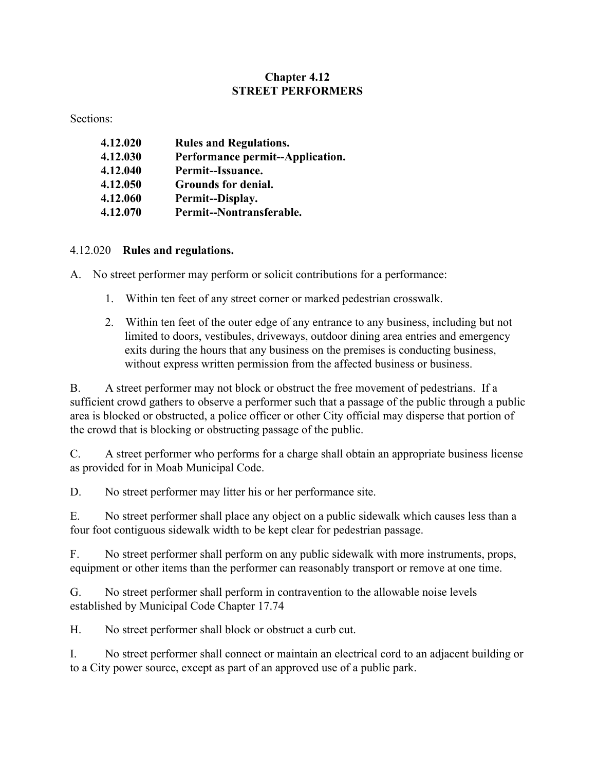## **Chapter 4.12 STREET PERFORMERS**

Sections:

| 4.12.020 | <b>Rules and Regulations.</b>    |
|----------|----------------------------------|
| 4.12.030 | Performance permit--Application. |
| 4.12.040 | Permit--Issuance.                |
| 4.12.050 | Grounds for denial.              |
| 4.12.060 | Permit--Display.                 |
| 4.12.070 | Permit--Nontransferable.         |

4.12.020 **Rules and regulations.**

A. No street performer may perform or solicit contributions for a performance:

- 1. Within ten feet of any street corner or marked pedestrian crosswalk.
- 2. Within ten feet of the outer edge of any entrance to any business, including but not limited to doors, vestibules, driveways, outdoor dining area entries and emergency exits during the hours that any business on the premises is conducting business, without express written permission from the affected business or business.

B. A street performer may not block or obstruct the free movement of pedestrians. If a sufficient crowd gathers to observe a performer such that a passage of the public through a public area is blocked or obstructed, a police officer or other City official may disperse that portion of the crowd that is blocking or obstructing passage of the public.

C. A street performer who performs for a charge shall obtain an appropriate business license as provided for in Moab Municipal Code.

D. No street performer may litter his or her performance site.

E. No street performer shall place any object on a public sidewalk which causes less than a four foot contiguous sidewalk width to be kept clear for pedestrian passage.

F. No street performer shall perform on any public sidewalk with more instruments, props, equipment or other items than the performer can reasonably transport or remove at one time.

G. No street performer shall perform in contravention to the allowable noise levels established by Municipal Code Chapter 17.74

H. No street performer shall block or obstruct a curb cut.

I. No street performer shall connect or maintain an electrical cord to an adjacent building or to a City power source, except as part of an approved use of a public park.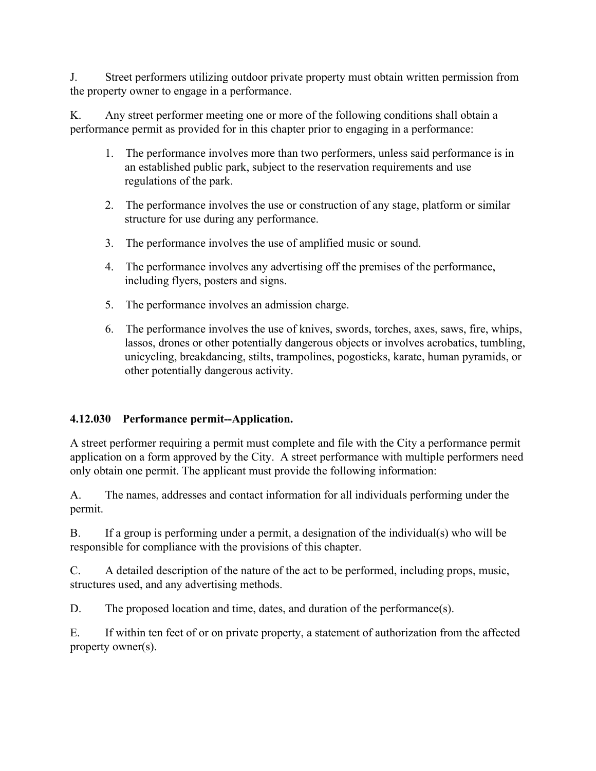J. Street performers utilizing outdoor private property must obtain written permission from the property owner to engage in a performance.

K. Any street performer meeting one or more of the following conditions shall obtain a performance permit as provided for in this chapter prior to engaging in a performance:

- 1. The performance involves more than two performers, unless said performance is in an established public park, subject to the reservation requirements and use regulations of the park.
- 2. The performance involves the use or construction of any stage, platform or similar structure for use during any performance.
- 3. The performance involves the use of amplified music or sound.
- 4. The performance involves any advertising off the premises of the performance, including flyers, posters and signs.
- 5. The performance involves an admission charge.
- 6. The performance involves the use of knives, swords, torches, axes, saws, fire, whips, lassos, drones or other potentially dangerous objects or involves acrobatics, tumbling, unicycling, breakdancing, stilts, trampolines, pogosticks, karate, human pyramids, or other potentially dangerous activity.

# **4.12.030 Performance permit--Application.**

A street performer requiring a permit must complete and file with the City a performance permit application on a form approved by the City. A street performance with multiple performers need only obtain one permit. The applicant must provide the following information:

A. The names, addresses and contact information for all individuals performing under the permit.

B. If a group is performing under a permit, a designation of the individual(s) who will be responsible for compliance with the provisions of this chapter.

C. A detailed description of the nature of the act to be performed, including props, music, structures used, and any advertising methods.

D. The proposed location and time, dates, and duration of the performance(s).

E. If within ten feet of or on private property, a statement of authorization from the affected property owner(s).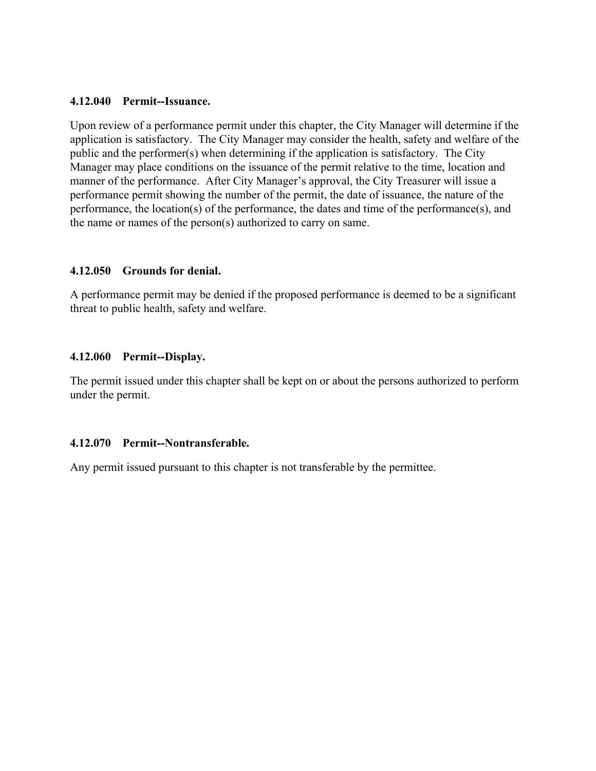#### **4.12.040 Permit--Issuance.**

Upon review of a performance permit under this chapter, the City Manager will determine if the application is satisfactory. The City Manager may consider the health, safety and welfare of the public and the performer(s) when determining if the application is satisfactory. The City Manager may place conditions on the issuance of the permit relative to the time, location and manner of the performance. After City Manager's approval, the City Treasurer will issue a performance permit showing the number of the permit, the date of issuance, the nature of the performance, the location(s) of the performance, the dates and time of the performance(s), and the name or names of the person(s) authorized to carry on same.

#### **4.12.050 Grounds for denial.**

A performance permit may be denied if the proposed performance is deemed to be a significant threat to public health, safety and welfare.

#### **4.12.060 Permit--Display.**

The permit issued under this chapter shall be kept on or about the persons authorized to perform under the permit.

#### **4.12.070 Permit--Nontransferable.**

Any permit issued pursuant to this chapter is not transferable by the permittee.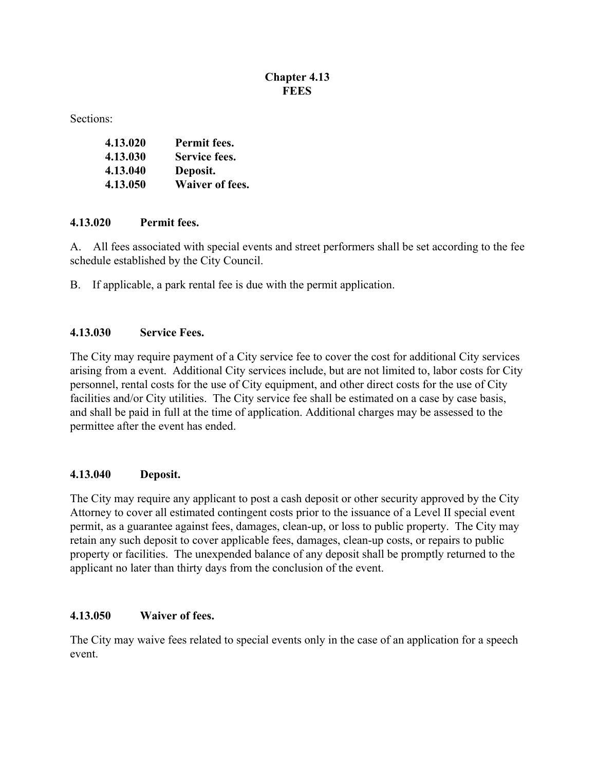## **Chapter 4.13 FEES**

Sections:

| 4.13.020 | Permit fees.           |
|----------|------------------------|
| 4.13.030 | Service fees.          |
| 4.13.040 | Deposit.               |
| 4.13.050 | <b>Waiver of fees.</b> |

### **4.13.020 Permit fees.**

A. All fees associated with special events and street performers shall be set according to the fee schedule established by the City Council.

B. If applicable, a park rental fee is due with the permit application.

## **4.13.030 Service Fees.**

The City may require payment of a City service fee to cover the cost for additional City services arising from a event. Additional City services include, but are not limited to, labor costs for City personnel, rental costs for the use of City equipment, and other direct costs for the use of City facilities and/or City utilities. The City service fee shall be estimated on a case by case basis, and shall be paid in full at the time of application. Additional charges may be assessed to the permittee after the event has ended.

## **4.13.040 Deposit.**

The City may require any applicant to post a cash deposit or other security approved by the City Attorney to cover all estimated contingent costs prior to the issuance of a Level II special event permit, as a guarantee against fees, damages, clean-up, or loss to public property. The City may retain any such deposit to cover applicable fees, damages, clean-up costs, or repairs to public property or facilities. The unexpended balance of any deposit shall be promptly returned to the applicant no later than thirty days from the conclusion of the event.

## **4.13.050 Waiver of fees.**

The City may waive fees related to special events only in the case of an application for a speech event.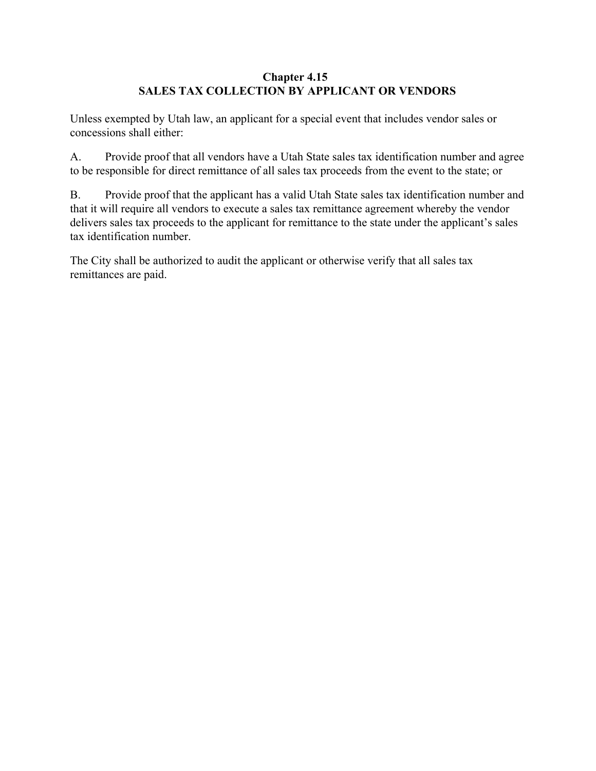## **Chapter 4.15 SALES TAX COLLECTION BY APPLICANT OR VENDORS**

Unless exempted by Utah law, an applicant for a special event that includes vendor sales or concessions shall either:

A. Provide proof that all vendors have a Utah State sales tax identification number and agree to be responsible for direct remittance of all sales tax proceeds from the event to the state; or

B. Provide proof that the applicant has a valid Utah State sales tax identification number and that it will require all vendors to execute a sales tax remittance agreement whereby the vendor delivers sales tax proceeds to the applicant for remittance to the state under the applicant's sales tax identification number.

The City shall be authorized to audit the applicant or otherwise verify that all sales tax remittances are paid.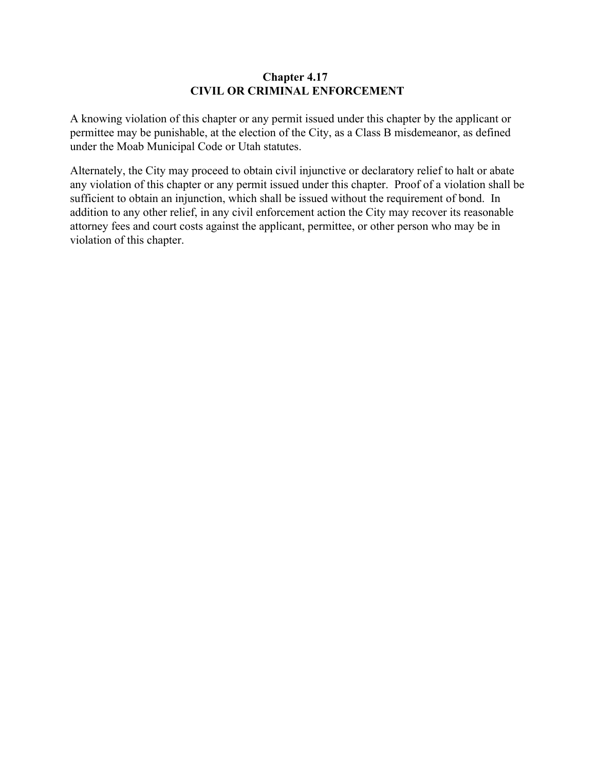### **Chapter 4.17 CIVIL OR CRIMINAL ENFORCEMENT**

A knowing violation of this chapter or any permit issued under this chapter by the applicant or permittee may be punishable, at the election of the City, as a Class B misdemeanor, as defined under the Moab Municipal Code or Utah statutes.

Alternately, the City may proceed to obtain civil injunctive or declaratory relief to halt or abate any violation of this chapter or any permit issued under this chapter. Proof of a violation shall be sufficient to obtain an injunction, which shall be issued without the requirement of bond. In addition to any other relief, in any civil enforcement action the City may recover its reasonable attorney fees and court costs against the applicant, permittee, or other person who may be in violation of this chapter.